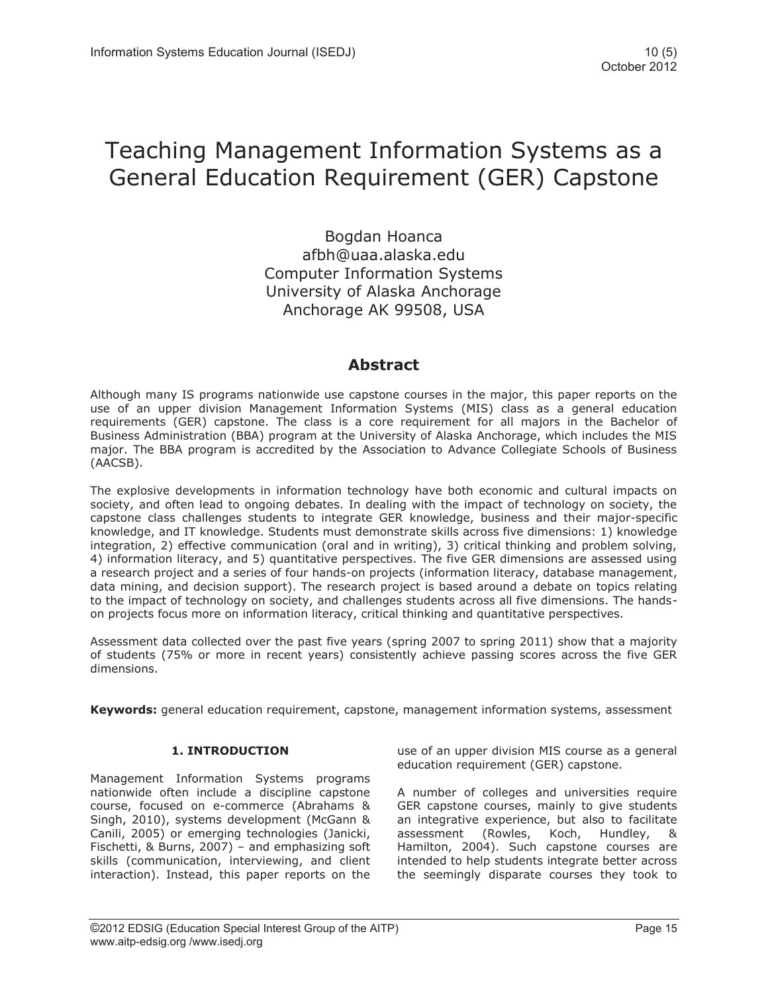# Teaching Management Information Systems as a General Education Requirement (GER) Capstone

Bogdan Hoanca afbh@uaa.alaska.edu Computer Information Systems University of Alaska Anchorage Anchorage AK 99508, USA

# **Abstract**

Although many IS programs nationwide use capstone courses in the major, this paper reports on the use of an upper division Management Information Systems (MIS) class as a general education requirements (GER) capstone. The class is a core requirement for all majors in the Bachelor of Business Administration (BBA) program at the University of Alaska Anchorage, which includes the MIS major. The BBA program is accredited by the Association to Advance Collegiate Schools of Business (AACSB).

The explosive developments in information technology have both economic and cultural impacts on society, and often lead to ongoing debates. In dealing with the impact of technology on society, the capstone class challenges students to integrate GER knowledge, business and their major-specific knowledge, and IT knowledge. Students must demonstrate skills across five dimensions: 1) knowledge integration, 2) effective communication (oral and in writing), 3) critical thinking and problem solving, 4) information literacy, and 5) quantitative perspectives. The five GER dimensions are assessed using a research project and a series of four hands-on projects (information literacy, database management, data mining, and decision support). The research project is based around a debate on topics relating to the impact of technology on society, and challenges students across all five dimensions. The handson projects focus more on information literacy, critical thinking and quantitative perspectives.

Assessment data collected over the past five years (spring 2007 to spring 2011) show that a majority of students (75% or more in recent years) consistently achieve passing scores across the five GER dimensions.

**Keywords:** general education requirement, capstone, management information systems, assessment

# **1. INTRODUCTION**

Management Information Systems programs nationwide often include a discipline capstone course, focused on e-commerce (Abrahams & Singh, 2010), systems development (McGann & Canili, 2005) or emerging technologies (Janicki, Fischetti, & Burns, 2007) – and emphasizing soft skills (communication, interviewing, and client interaction). Instead, this paper reports on the

use of an upper division MIS course as a general education requirement (GER) capstone.

A number of colleges and universities require GER capstone courses, mainly to give students an integrative experience, but also to facilitate assessment (Rowles, Koch, Hundley, & Hamilton, 2004). Such capstone courses are intended to help students integrate better across the seemingly disparate courses they took to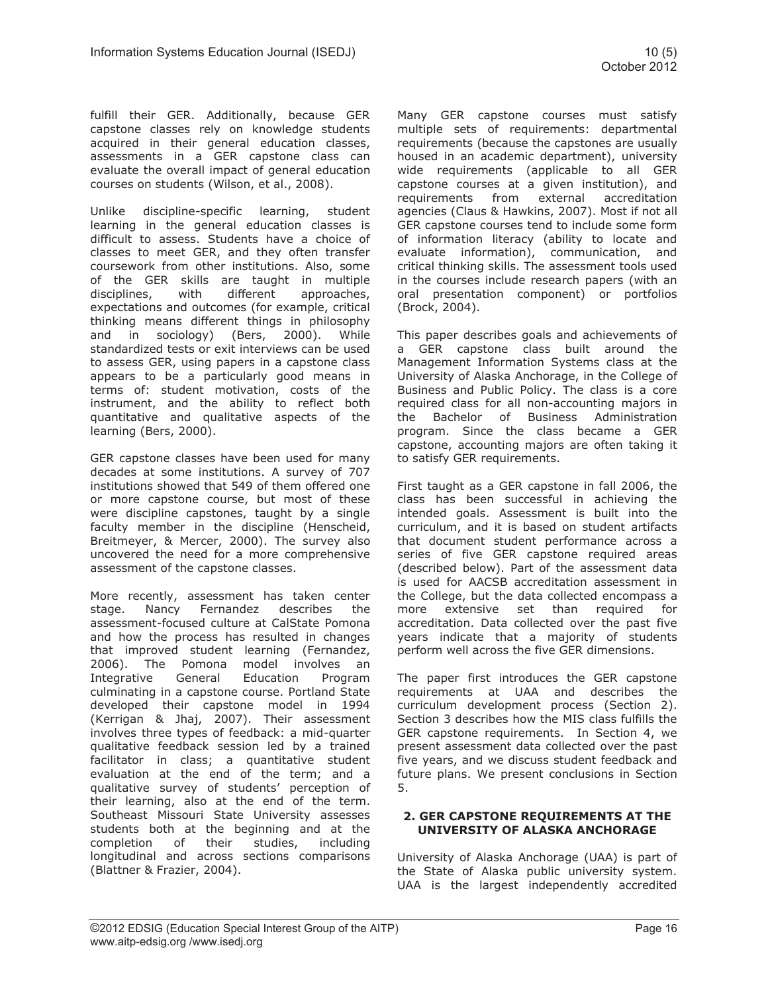fulfill their GER. Additionally, because GER capstone classes rely on knowledge students acquired in their general education classes, assessments in a GER capstone class can evaluate the overall impact of general education courses on students (Wilson, et al., 2008).

Unlike discipline-specific learning, student learning in the general education classes is difficult to assess. Students have a choice of classes to meet GER, and they often transfer coursework from other institutions. Also, some of the GER skills are taught in multiple disciplines, with different approaches, expectations and outcomes (for example, critical thinking means different things in philosophy and in sociology) (Bers, 2000). While standardized tests or exit interviews can be used to assess GER, using papers in a capstone class appears to be a particularly good means in terms of: student motivation, costs of the instrument, and the ability to reflect both quantitative and qualitative aspects of the learning (Bers, 2000).

GER capstone classes have been used for many decades at some institutions. A survey of 707 institutions showed that 549 of them offered one or more capstone course, but most of these were discipline capstones, taught by a single faculty member in the discipline (Henscheid, Breitmeyer, & Mercer, 2000). The survey also uncovered the need for a more comprehensive assessment of the capstone classes.

More recently, assessment has taken center stage. Nancy Fernandez describes the assessment-focused culture at CalState Pomona and how the process has resulted in changes that improved student learning (Fernandez, 2006). The Pomona model involves an Integrative General Education Program culminating in a capstone course. Portland State developed their capstone model in 1994 (Kerrigan & Jhaj, 2007). Their assessment involves three types of feedback: a mid-quarter qualitative feedback session led by a trained facilitator in class; a quantitative student evaluation at the end of the term; and a qualitative survey of students' perception of their learning, also at the end of the term. Southeast Missouri State University assesses students both at the beginning and at the completion of their studies, including longitudinal and across sections comparisons (Blattner & Frazier, 2004).

Many GER capstone courses must satisfy multiple sets of requirements: departmental requirements (because the capstones are usually housed in an academic department), university wide requirements (applicable to all GER capstone courses at a given institution), and requirements from external accreditation agencies (Claus & Hawkins, 2007). Most if not all GER capstone courses tend to include some form of information literacy (ability to locate and evaluate information), communication, and critical thinking skills. The assessment tools used in the courses include research papers (with an oral presentation component) or portfolios (Brock, 2004).

This paper describes goals and achievements of a GER capstone class built around the Management Information Systems class at the University of Alaska Anchorage, in the College of Business and Public Policy. The class is a core required class for all non-accounting majors in the Bachelor of Business Administration program. Since the class became a GER capstone, accounting majors are often taking it to satisfy GER requirements.

First taught as a GER capstone in fall 2006, the class has been successful in achieving the intended goals. Assessment is built into the curriculum, and it is based on student artifacts that document student performance across a series of five GER capstone required areas (described below). Part of the assessment data is used for AACSB accreditation assessment in the College, but the data collected encompass a more extensive set than required for accreditation. Data collected over the past five years indicate that a majority of students perform well across the five GER dimensions.

The paper first introduces the GER capstone requirements at UAA and describes the curriculum development process (Section 2). Section 3 describes how the MIS class fulfills the GER capstone requirements. In Section 4, we present assessment data collected over the past five years, and we discuss student feedback and future plans. We present conclusions in Section 5.

#### **2. GER CAPSTONE REQUIREMENTS AT THE UNIVERSITY OF ALASKA ANCHORAGE**

University of Alaska Anchorage (UAA) is part of the State of Alaska public university system. UAA is the largest independently accredited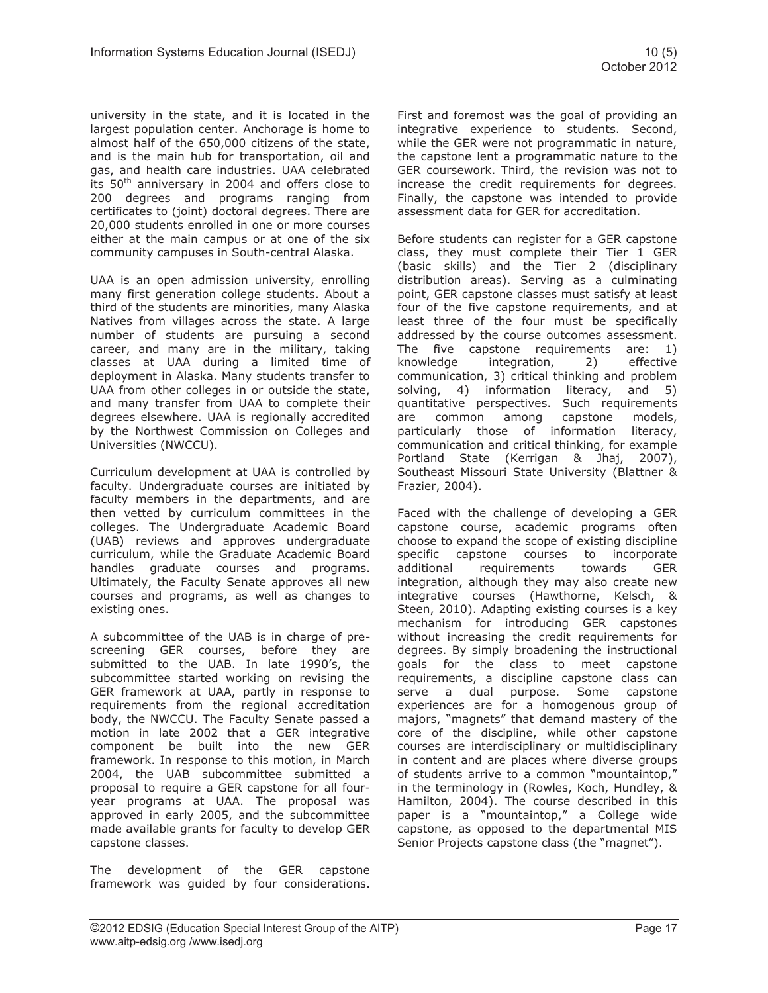university in the state, and it is located in the largest population center. Anchorage is home to almost half of the 650,000 citizens of the state, and is the main hub for transportation, oil and gas, and health care industries. UAA celebrated its  $50<sup>th</sup>$  anniversary in 2004 and offers close to 200 degrees and programs ranging from certificates to (joint) doctoral degrees. There are 20,000 students enrolled in one or more courses either at the main campus or at one of the six community campuses in South-central Alaska.

UAA is an open admission university, enrolling many first generation college students. About a third of the students are minorities, many Alaska Natives from villages across the state. A large number of students are pursuing a second career, and many are in the military, taking classes at UAA during a limited time of deployment in Alaska. Many students transfer to UAA from other colleges in or outside the state, and many transfer from UAA to complete their degrees elsewhere. UAA is regionally accredited by the Northwest Commission on Colleges and Universities (NWCCU).

Curriculum development at UAA is controlled by faculty. Undergraduate courses are initiated by faculty members in the departments, and are then vetted by curriculum committees in the colleges. The Undergraduate Academic Board (UAB) reviews and approves undergraduate curriculum, while the Graduate Academic Board handles graduate courses and programs. Ultimately, the Faculty Senate approves all new courses and programs, as well as changes to existing ones.

A subcommittee of the UAB is in charge of prescreening GER courses, before they are submitted to the UAB. In late 1990's, the subcommittee started working on revising the GER framework at UAA, partly in response to requirements from the regional accreditation body, the NWCCU. The Faculty Senate passed a motion in late 2002 that a GER integrative component be built into the new GER framework. In response to this motion, in March 2004, the UAB subcommittee submitted a proposal to require a GER capstone for all fouryear programs at UAA. The proposal was approved in early 2005, and the subcommittee made available grants for faculty to develop GER capstone classes.

The development of the GER capstone framework was guided by four considerations. First and foremost was the goal of providing an integrative experience to students. Second, while the GER were not programmatic in nature, the capstone lent a programmatic nature to the GER coursework. Third, the revision was not to increase the credit requirements for degrees. Finally, the capstone was intended to provide assessment data for GER for accreditation.

Before students can register for a GER capstone class, they must complete their Tier 1 GER (basic skills) and the Tier 2 (disciplinary distribution areas). Serving as a culminating point, GER capstone classes must satisfy at least four of the five capstone requirements, and at least three of the four must be specifically addressed by the course outcomes assessment. The five capstone requirements are: 1) knowledge integration, 2) effective communication, 3) critical thinking and problem solving, 4) information literacy, and 5) quantitative perspectives. Such requirements are common among capstone models, particularly those of information literacy, communication and critical thinking, for example Portland State (Kerrigan & Jhaj, 2007), Southeast Missouri State University (Blattner & Frazier, 2004).

Faced with the challenge of developing a GER capstone course, academic programs often choose to expand the scope of existing discipline specific capstone courses to incorporate additional requirements towards GER integration, although they may also create new integrative courses (Hawthorne, Kelsch, & Steen, 2010). Adapting existing courses is a key mechanism for introducing GER capstones without increasing the credit requirements for degrees. By simply broadening the instructional goals for the class to meet capstone requirements, a discipline capstone class can serve a dual purpose. Some capstone experiences are for a homogenous group of majors, "magnets" that demand mastery of the core of the discipline, while other capstone courses are interdisciplinary or multidisciplinary in content and are places where diverse groups of students arrive to a common "mountaintop," in the terminology in (Rowles, Koch, Hundley, & Hamilton, 2004). The course described in this paper is a "mountaintop," a College wide capstone, as opposed to the departmental MIS Senior Projects capstone class (the "magnet").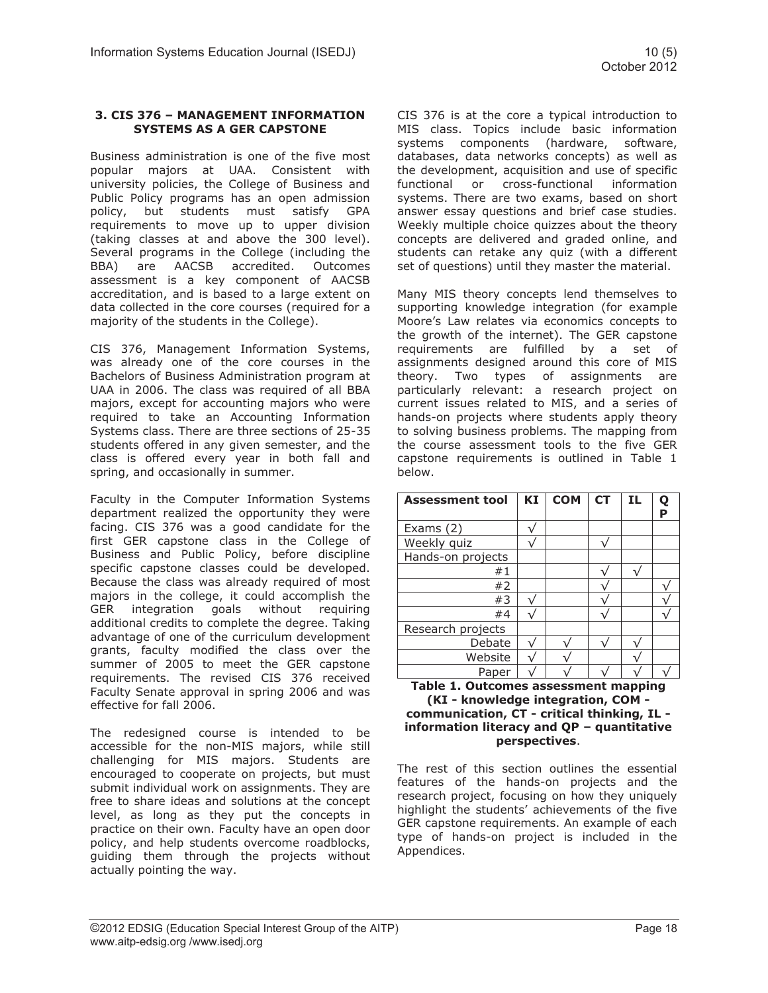Business administration is one of the five most popular majors at UAA. Consistent with university policies, the College of Business and Public Policy programs has an open admission policy, but students must satisfy GPA requirements to move up to upper division (taking classes at and above the 300 level). Several programs in the College (including the BBA) are AACSB accredited. Outcomes assessment is a key component of AACSB accreditation, and is based to a large extent on data collected in the core courses (required for a majority of the students in the College).

CIS 376, Management Information Systems, was already one of the core courses in the Bachelors of Business Administration program at UAA in 2006. The class was required of all BBA majors, except for accounting majors who were required to take an Accounting Information Systems class. There are three sections of 25-35 students offered in any given semester, and the class is offered every year in both fall and spring, and occasionally in summer.

Faculty in the Computer Information Systems department realized the opportunity they were facing. CIS 376 was a good candidate for the first GER capstone class in the College of Business and Public Policy, before discipline specific capstone classes could be developed. Because the class was already required of most majors in the college, it could accomplish the GER integration goals without requiring additional credits to complete the degree. Taking advantage of one of the curriculum development grants, faculty modified the class over the summer of 2005 to meet the GER capstone requirements. The revised CIS 376 received Faculty Senate approval in spring 2006 and was effective for fall 2006.

The redesigned course is intended to be accessible for the non-MIS majors, while still challenging for MIS majors. Students are encouraged to cooperate on projects, but must submit individual work on assignments. They are free to share ideas and solutions at the concept level, as long as they put the concepts in practice on their own. Faculty have an open door policy, and help students overcome roadblocks, guiding them through the projects without actually pointing the way.

CIS 376 is at the core a typical introduction to MIS class. Topics include basic information systems components (hardware, software, databases, data networks concepts) as well as the development, acquisition and use of specific functional or cross-functional information systems. There are two exams, based on short answer essay questions and brief case studies. Weekly multiple choice quizzes about the theory concepts are delivered and graded online, and students can retake any quiz (with a different set of questions) until they master the material.

Many MIS theory concepts lend themselves to supporting knowledge integration (for example Moore's Law relates via economics concepts to the growth of the internet). The GER capstone requirements are fulfilled by a set of assignments designed around this core of MIS theory. Two types of assignments are particularly relevant: a research project on current issues related to MIS, and a series of hands-on projects where students apply theory to solving business problems. The mapping from the course assessment tools to the five GER capstone requirements is outlined in Table 1 below.

| <b>Assessment tool</b> | ΚI | <b>COM</b> | <b>CT</b> | ΙL | Q<br>Þ |
|------------------------|----|------------|-----------|----|--------|
| Exams $(2)$            |    |            |           |    |        |
| Weekly quiz            |    |            |           |    |        |
| Hands-on projects      |    |            |           |    |        |
| #1                     |    |            |           |    |        |
| #2                     |    |            |           |    |        |
| #3                     |    |            |           |    |        |
| #4                     |    |            |           |    |        |
| Research projects      |    |            |           |    |        |
| Debate                 |    |            |           |    |        |
| Website                |    |            |           |    |        |
| Paper                  |    |            |           |    |        |

#### **Table 1. Outcomes assessment mapping (KI - knowledge integration, COM communication, CT - critical thinking, IL information literacy and QP – quantitative perspectives**.

The rest of this section outlines the essential features of the hands-on projects and the research project, focusing on how they uniquely highlight the students' achievements of the five GER capstone requirements. An example of each type of hands-on project is included in the Appendices.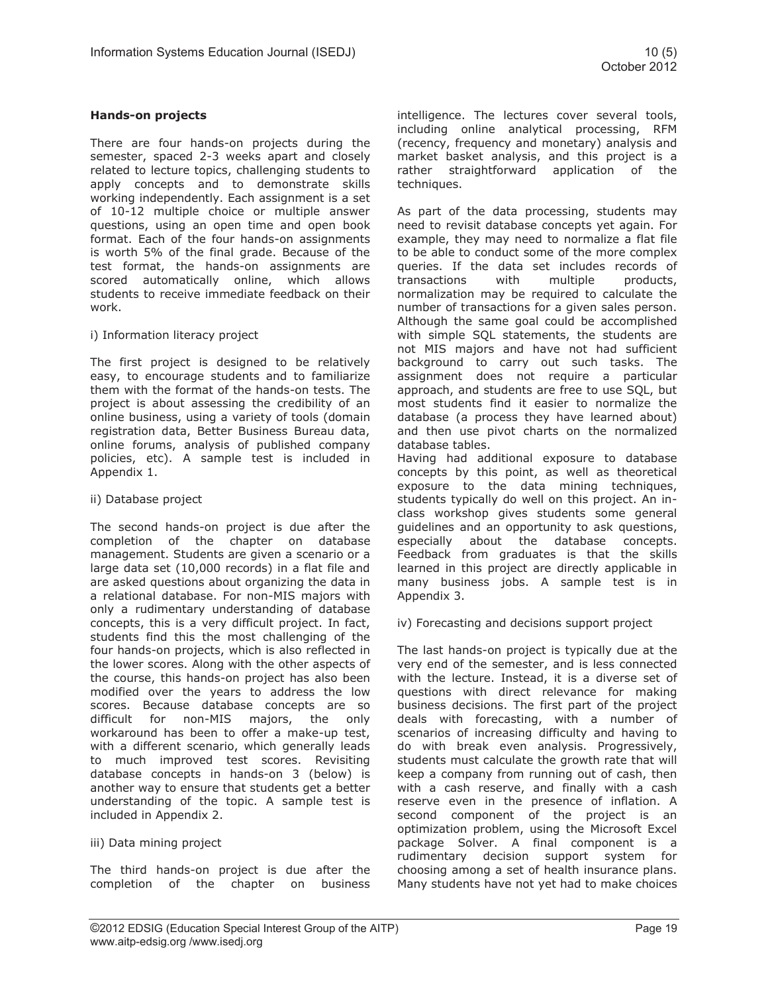### **Hands-on projects**

There are four hands-on projects during the semester, spaced 2-3 weeks apart and closely related to lecture topics, challenging students to apply concepts and to demonstrate skills working independently. Each assignment is a set of 10-12 multiple choice or multiple answer questions, using an open time and open book format. Each of the four hands-on assignments is worth 5% of the final grade. Because of the test format, the hands-on assignments are scored automatically online, which allows students to receive immediate feedback on their work.

### i) Information literacy project

The first project is designed to be relatively easy, to encourage students and to familiarize them with the format of the hands-on tests. The project is about assessing the credibility of an online business, using a variety of tools (domain registration data, Better Business Bureau data, online forums, analysis of published company policies, etc). A sample test is included in Appendix 1.

### ii) Database project

The second hands-on project is due after the completion of the chapter on database management. Students are given a scenario or a large data set (10,000 records) in a flat file and are asked questions about organizing the data in a relational database. For non-MIS majors with only a rudimentary understanding of database concepts, this is a very difficult project. In fact, students find this the most challenging of the four hands-on projects, which is also reflected in the lower scores. Along with the other aspects of the course, this hands-on project has also been modified over the years to address the low scores. Because database concepts are so difficult for non-MIS majors, the only workaround has been to offer a make-up test, with a different scenario, which generally leads to much improved test scores. Revisiting database concepts in hands-on 3 (below) is another way to ensure that students get a better understanding of the topic. A sample test is included in Appendix 2.

### iii) Data mining project

The third hands-on project is due after the completion of the chapter on business intelligence. The lectures cover several tools, including online analytical processing, RFM (recency, frequency and monetary) analysis and market basket analysis, and this project is a rather straightforward application of the techniques.

As part of the data processing, students may need to revisit database concepts yet again. For example, they may need to normalize a flat file to be able to conduct some of the more complex queries. If the data set includes records of transactions with multiple products, normalization may be required to calculate the number of transactions for a given sales person. Although the same goal could be accomplished with simple SQL statements, the students are not MIS majors and have not had sufficient background to carry out such tasks. The assignment does not require a particular approach, and students are free to use SQL, but most students find it easier to normalize the database (a process they have learned about) and then use pivot charts on the normalized database tables.

Having had additional exposure to database concepts by this point, as well as theoretical exposure to the data mining techniques, students typically do well on this project. An inclass workshop gives students some general guidelines and an opportunity to ask questions, especially about the database concepts. Feedback from graduates is that the skills learned in this project are directly applicable in many business jobs. A sample test is in Appendix 3.

iv) Forecasting and decisions support project

The last hands-on project is typically due at the very end of the semester, and is less connected with the lecture. Instead, it is a diverse set of questions with direct relevance for making business decisions. The first part of the project deals with forecasting, with a number of scenarios of increasing difficulty and having to do with break even analysis. Progressively, students must calculate the growth rate that will keep a company from running out of cash, then with a cash reserve, and finally with a cash reserve even in the presence of inflation. A second component of the project is an optimization problem, using the Microsoft Excel package Solver. A final component is a rudimentary decision support system for choosing among a set of health insurance plans. Many students have not yet had to make choices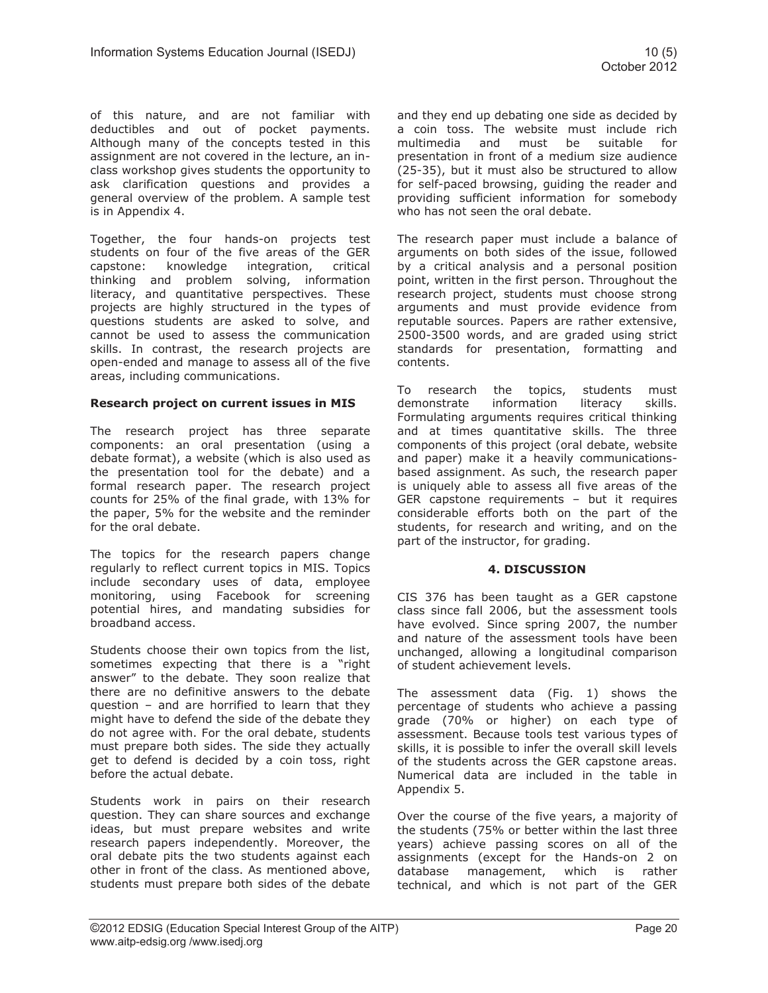of this nature, and are not familiar with deductibles and out of pocket payments. Although many of the concepts tested in this assignment are not covered in the lecture, an inclass workshop gives students the opportunity to ask clarification questions and provides a general overview of the problem. A sample test is in Appendix 4.

Together, the four hands-on projects test students on four of the five areas of the GER capstone: knowledge integration, critical thinking and problem solving, information literacy, and quantitative perspectives. These projects are highly structured in the types of questions students are asked to solve, and cannot be used to assess the communication skills. In contrast, the research projects are open-ended and manage to assess all of the five areas, including communications.

### **Research project on current issues in MIS**

The research project has three separate components: an oral presentation (using a debate format), a website (which is also used as the presentation tool for the debate) and a formal research paper. The research project counts for 25% of the final grade, with 13% for the paper, 5% for the website and the reminder for the oral debate.

The topics for the research papers change regularly to reflect current topics in MIS. Topics include secondary uses of data, employee monitoring, using Facebook for screening potential hires, and mandating subsidies for broadband access.

Students choose their own topics from the list, sometimes expecting that there is a "right answer" to the debate. They soon realize that there are no definitive answers to the debate question – and are horrified to learn that they might have to defend the side of the debate they do not agree with. For the oral debate, students must prepare both sides. The side they actually get to defend is decided by a coin toss, right before the actual debate.

Students work in pairs on their research question. They can share sources and exchange ideas, but must prepare websites and write research papers independently. Moreover, the oral debate pits the two students against each other in front of the class. As mentioned above, students must prepare both sides of the debate and they end up debating one side as decided by a coin toss. The website must include rich multimedia and must be suitable for presentation in front of a medium size audience (25-35), but it must also be structured to allow for self-paced browsing, guiding the reader and providing sufficient information for somebody who has not seen the oral debate.

The research paper must include a balance of arguments on both sides of the issue, followed by a critical analysis and a personal position point, written in the first person. Throughout the research project, students must choose strong arguments and must provide evidence from reputable sources. Papers are rather extensive, 2500-3500 words, and are graded using strict standards for presentation, formatting and contents.

To research the topics, students must demonstrate information literacy skills. Formulating arguments requires critical thinking and at times quantitative skills. The three components of this project (oral debate, website and paper) make it a heavily communicationsbased assignment. As such, the research paper is uniquely able to assess all five areas of the GER capstone requirements – but it requires considerable efforts both on the part of the students, for research and writing, and on the part of the instructor, for grading.

# **4. DISCUSSION**

CIS 376 has been taught as a GER capstone class since fall 2006, but the assessment tools have evolved. Since spring 2007, the number and nature of the assessment tools have been unchanged, allowing a longitudinal comparison of student achievement levels.

The assessment data (Fig. 1) shows the percentage of students who achieve a passing grade (70% or higher) on each type of assessment. Because tools test various types of skills, it is possible to infer the overall skill levels of the students across the GER capstone areas. Numerical data are included in the table in Appendix 5.

Over the course of the five years, a majority of the students (75% or better within the last three years) achieve passing scores on all of the assignments (except for the Hands-on 2 on database management, which is rather technical, and which is not part of the GER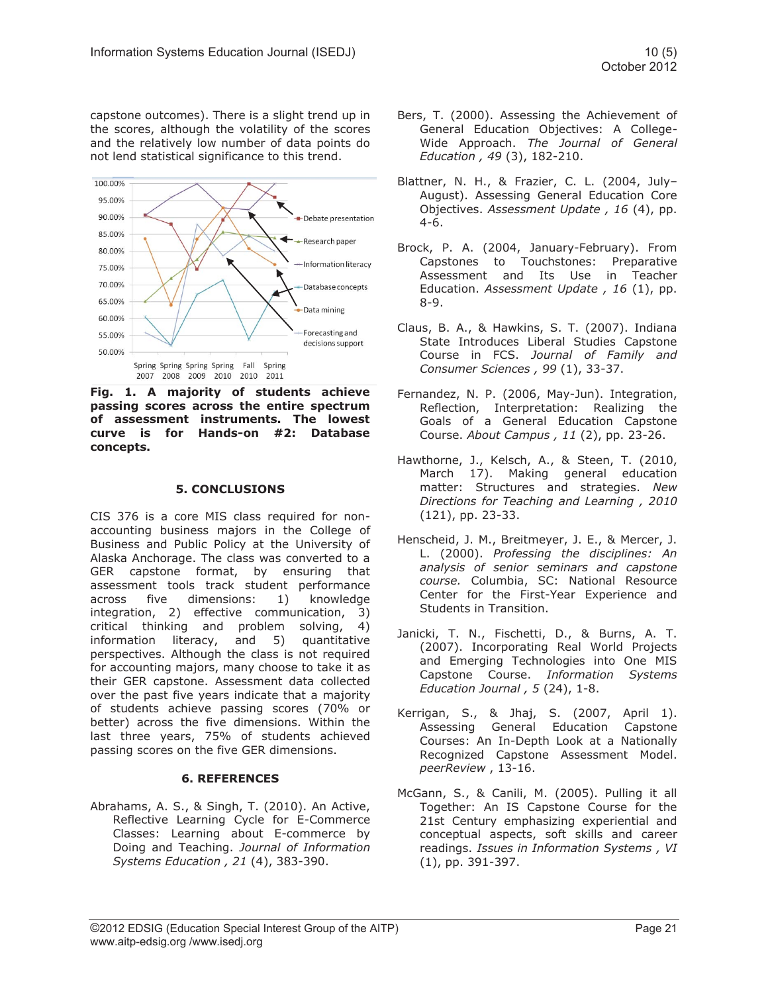capstone outcomes). There is a slight trend up in the scores, although the volatility of the scores and the relatively low number of data points do not lend statistical significance to this trend.



**Fig. 1. A majority of students achieve passing scores across the entire spectrum of assessment instruments. The lowest curve is for Hands-on #2: Database concepts.** 

### **5. CONCLUSIONS**

CIS 376 is a core MIS class required for nonaccounting business majors in the College of Business and Public Policy at the University of Alaska Anchorage. The class was converted to a GER capstone format, by ensuring that assessment tools track student performance across five dimensions: 1) knowledge integration, 2) effective communication, 3) critical thinking and problem solving, 4)<br>information literacy, and 5) quantitative information literacy, and perspectives. Although the class is not required for accounting majors, many choose to take it as their GER capstone. Assessment data collected over the past five years indicate that a majority of students achieve passing scores (70% or better) across the five dimensions. Within the last three years, 75% of students achieved passing scores on the five GER dimensions.

# **6. REFERENCES**

Abrahams, A. S., & Singh, T. (2010). An Active, Reflective Learning Cycle for E-Commerce Classes: Learning about E-commerce by Doing and Teaching. *Journal of Information Systems Education , 21* (4), 383-390.

- Bers, T. (2000). Assessing the Achievement of General Education Objectives: A College-Wide Approach. *The Journal of General Education , 49* (3), 182-210.
- Blattner, N. H., & Frazier, C. L. (2004, July– August). Assessing General Education Core Objectives. *Assessment Update , 16* (4), pp. 4-6.
- Brock, P. A. (2004, January-February). From Capstones to Touchstones: Preparative Assessment and Its Use in Teacher Education. *Assessment Update , 16* (1), pp. 8-9.
- Claus, B. A., & Hawkins, S. T. (2007). Indiana State Introduces Liberal Studies Capstone Course in FCS. *Journal of Family and Consumer Sciences , 99* (1), 33-37.
- Fernandez, N. P. (2006, May-Jun). Integration, Reflection, Interpretation: Realizing the Goals of a General Education Capstone Course. *About Campus , 11* (2), pp. 23-26.
- Hawthorne, J., Kelsch, A., & Steen, T. (2010, March 17). Making general education matter: Structures and strategies. *New Directions for Teaching and Learning , 2010* (121), pp. 23-33.
- Henscheid, J. M., Breitmeyer, J. E., & Mercer, J. L. (2000). *Professing the disciplines: An analysis of senior seminars and capstone course.* Columbia, SC: National Resource Center for the First-Year Experience and Students in Transition.
- Janicki, T. N., Fischetti, D., & Burns, A. T. (2007). Incorporating Real World Projects and Emerging Technologies into One MIS Capstone Course. *Information Systems Education Journal , 5* (24), 1-8.
- Kerrigan, S., & Jhaj, S. (2007, April 1). Assessing General Education Capstone Courses: An In-Depth Look at a Nationally Recognized Capstone Assessment Model. *peerReview* , 13-16.
- McGann, S., & Canili, M. (2005). Pulling it all Together: An IS Capstone Course for the 21st Century emphasizing experiential and conceptual aspects, soft skills and career readings. *Issues in Information Systems , VI* (1), pp. 391-397.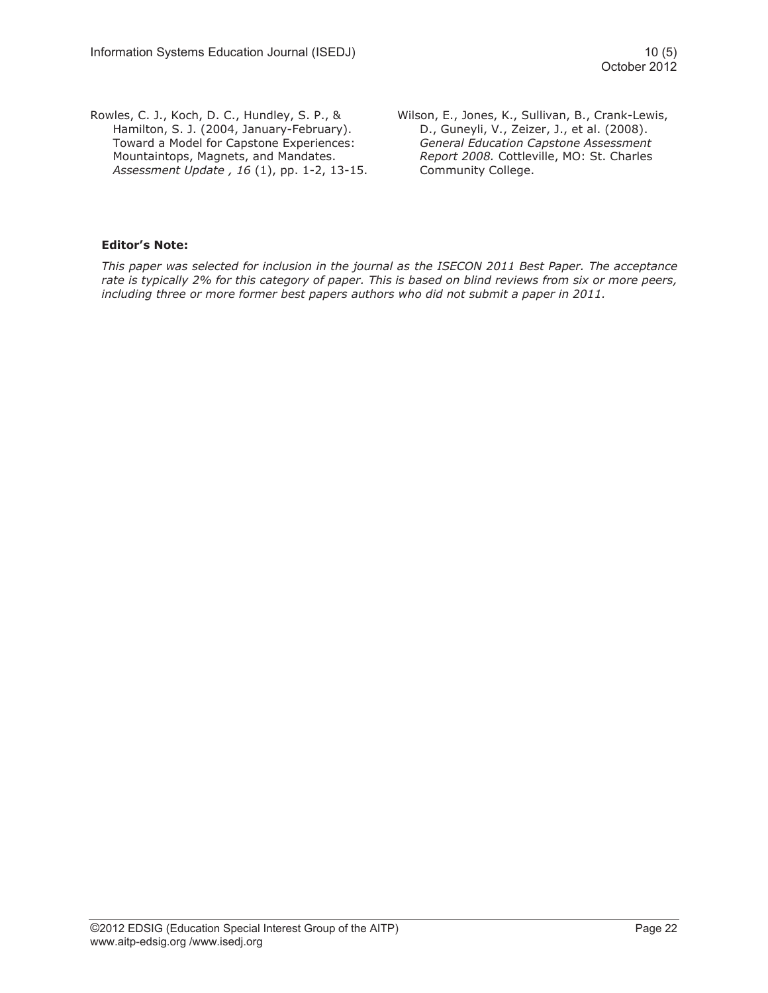Rowles, C. J., Koch, D. C., Hundley, S. P., & Hamilton, S. J. (2004, January-February). Toward a Model for Capstone Experiences: Mountaintops, Magnets, and Mandates. *Assessment Update , 16* (1), pp. 1-2, 13-15. Wilson, E., Jones, K., Sullivan, B., Crank-Lewis, D., Guneyli, V., Zeizer, J., et al. (2008). *General Education Capstone Assessment Report 2008.* Cottleville, MO: St. Charles Community College.

### **Editor's Note:**

*This paper was selected for inclusion in the journal as the ISECON 2011 Best Paper. The acceptance rate is typically 2% for this category of paper. This is based on blind reviews from six or more peers, including three or more former best papers authors who did not submit a paper in 2011.*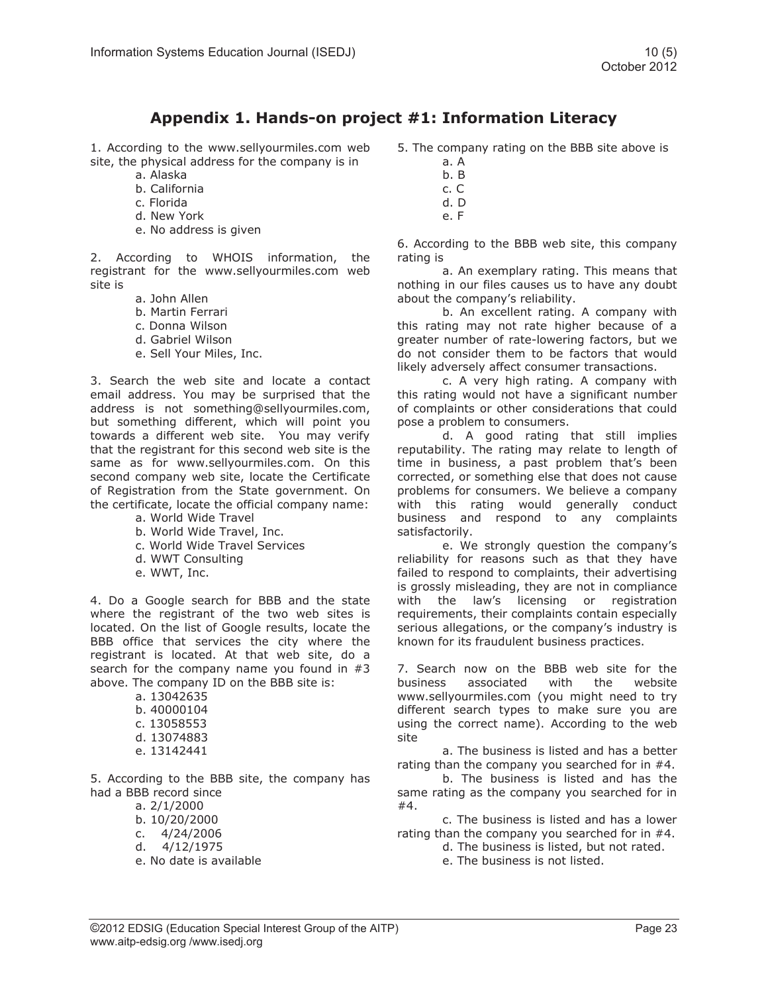# **Appendix 1. Hands-on project #1: Information Literacy**

1. According to the www.sellyourmiles.com web site, the physical address for the company is in

- a. Alaska
- b. California
- c. Florida
- d. New York
- e. No address is given

2. According to WHOIS information, the registrant for the www.sellyourmiles.com web site is

- a. John Allen
- b. Martin Ferrari
- c. Donna Wilson
- d. Gabriel Wilson
- e. Sell Your Miles, Inc.

3. Search the web site and locate a contact email address. You may be surprised that the address is not something@sellyourmiles.com, but something different, which will point you towards a different web site. You may verify that the registrant for this second web site is the same as for www.sellyourmiles.com. On this second company web site, locate the Certificate of Registration from the State government. On the certificate, locate the official company name:

- a. World Wide Travel
- b. World Wide Travel, Inc.
- c. World Wide Travel Services
- d. WWT Consulting
- e. WWT, Inc.

4. Do a Google search for BBB and the state where the registrant of the two web sites is located. On the list of Google results, locate the BBB office that services the city where the registrant is located. At that web site, do a search for the company name you found in #3 above. The company ID on the BBB site is:

a. 13042635

- b. 40000104
- c. 13058553
- d. 13074883
- e. 13142441

5. According to the BBB site, the company has had a BBB record since

a. 2/1/2000

- b. 10/20/2000
- c. 4/24/2006
- d.  $4/12/1975$
- e. No date is available

5. The company rating on the BBB site above is

- a. A
- b. B c. C
- d. D
- e. F

6. According to the BBB web site, this company rating is

a. An exemplary rating. This means that nothing in our files causes us to have any doubt about the company's reliability.

b. An excellent rating. A company with this rating may not rate higher because of a greater number of rate-lowering factors, but we do not consider them to be factors that would likely adversely affect consumer transactions.

c. A very high rating. A company with this rating would not have a significant number of complaints or other considerations that could pose a problem to consumers.

d. A good rating that still implies reputability. The rating may relate to length of time in business, a past problem that's been corrected, or something else that does not cause problems for consumers. We believe a company with this rating would generally conduct business and respond to any complaints satisfactorily.

e. We strongly question the company's reliability for reasons such as that they have failed to respond to complaints, their advertising is grossly misleading, they are not in compliance with the law's licensing or registration requirements, their complaints contain especially serious allegations, or the company's industry is known for its fraudulent business practices.

7. Search now on the BBB web site for the business associated with the website www.sellyourmiles.com (you might need to try different search types to make sure you are using the correct name). According to the web site

a. The business is listed and has a better rating than the company you searched for in #4.

b. The business is listed and has the same rating as the company you searched for in #4.

c. The business is listed and has a lower rating than the company you searched for in #4.

d. The business is listed, but not rated.

e. The business is not listed.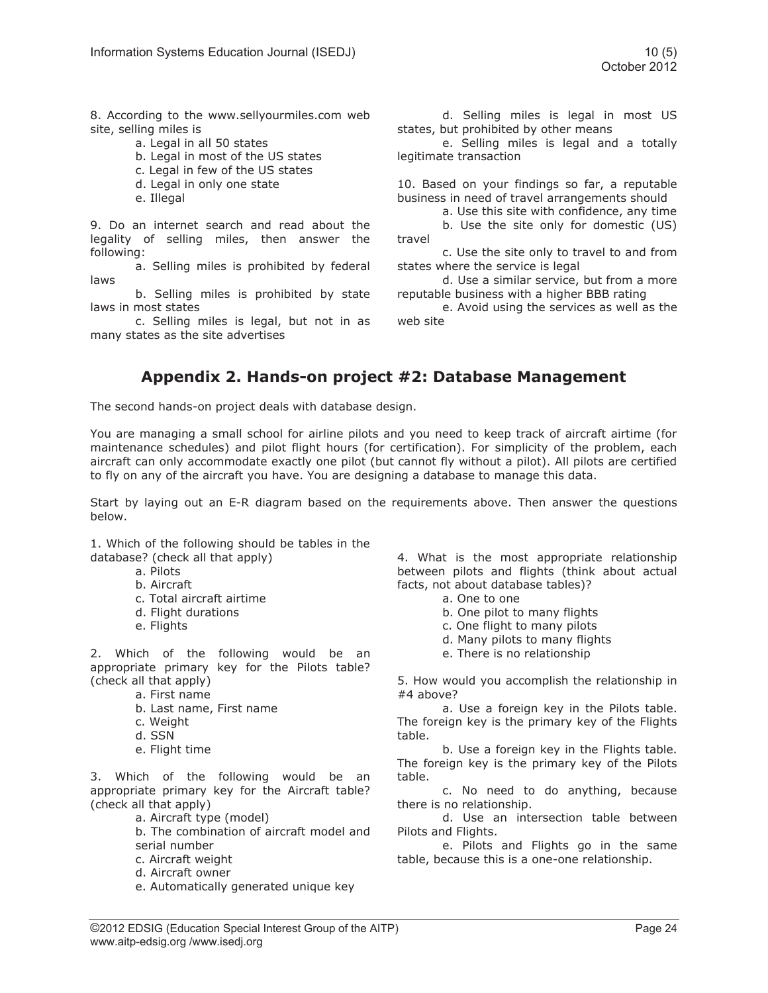8. According to the www.sellyourmiles.com web site, selling miles is

- a. Legal in all 50 states
- b. Legal in most of the US states
- c. Legal in few of the US states
- d. Legal in only one state
- e. Illegal

9. Do an internet search and read about the legality of selling miles, then answer the following:

a. Selling miles is prohibited by federal laws

b. Selling miles is prohibited by state laws in most states

c. Selling miles is legal, but not in as many states as the site advertises

d. Selling miles is legal in most US states, but prohibited by other means

e. Selling miles is legal and a totally legitimate transaction

10. Based on your findings so far, a reputable business in need of travel arrangements should

a. Use this site with confidence, any time b. Use the site only for domestic (US)

travel c. Use the site only to travel to and from states where the service is legal

d. Use a similar service, but from a more reputable business with a higher BBB rating

e. Avoid using the services as well as the web site

# **Appendix 2. Hands-on project #2: Database Management**

The second hands-on project deals with database design.

You are managing a small school for airline pilots and you need to keep track of aircraft airtime (for maintenance schedules) and pilot flight hours (for certification). For simplicity of the problem, each aircraft can only accommodate exactly one pilot (but cannot fly without a pilot). All pilots are certified to fly on any of the aircraft you have. You are designing a database to manage this data.

Start by laying out an E-R diagram based on the requirements above. Then answer the questions below.

1. Which of the following should be tables in the database? (check all that apply)

a. Pilots

- b. Aircraft
- c. Total aircraft airtime
- d. Flight durations
- e. Flights

2. Which of the following would be an appropriate primary key for the Pilots table? (check all that apply)

a. First name

- b. Last name, First name
- c. Weight
- d. SSN
- e. Flight time

3. Which of the following would be an appropriate primary key for the Aircraft table? (check all that apply)

a. Aircraft type (model)

b. The combination of aircraft model and serial number

- c. Aircraft weight
- d. Aircraft owner
- e. Automatically generated unique key

4. What is the most appropriate relationship between pilots and flights (think about actual facts, not about database tables)?

- a. One to one
- b. One pilot to many flights
- c. One flight to many pilots
- d. Many pilots to many flights
- e. There is no relationship

5. How would you accomplish the relationship in #4 above?

a. Use a foreign key in the Pilots table. The foreign key is the primary key of the Flights table.

b. Use a foreign key in the Flights table. The foreign key is the primary key of the Pilots table.

c. No need to do anything, because there is no relationship.

d. Use an intersection table between Pilots and Flights.

e. Pilots and Flights go in the same table, because this is a one-one relationship.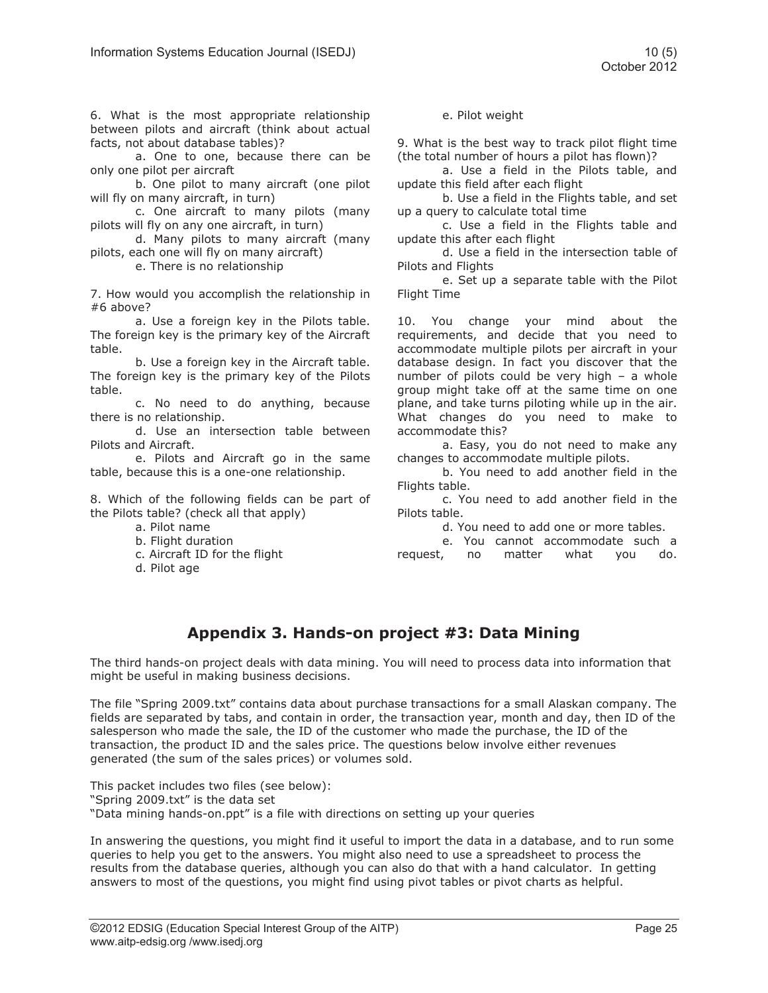6. What is the most appropriate relationship between pilots and aircraft (think about actual facts, not about database tables)?

a. One to one, because there can be only one pilot per aircraft

b. One pilot to many aircraft (one pilot will fly on many aircraft, in turn)

c. One aircraft to many pilots (many pilots will fly on any one aircraft, in turn)

d. Many pilots to many aircraft (many pilots, each one will fly on many aircraft)

e. There is no relationship

7. How would you accomplish the relationship in #6 above?

a. Use a foreign key in the Pilots table. The foreign key is the primary key of the Aircraft table.

b. Use a foreign key in the Aircraft table. The foreign key is the primary key of the Pilots table.

c. No need to do anything, because there is no relationship.

d. Use an intersection table between Pilots and Aircraft.

e. Pilots and Aircraft go in the same table, because this is a one-one relationship.

8. Which of the following fields can be part of the Pilots table? (check all that apply)

a. Pilot name

- b. Flight duration
- c. Aircraft ID for the flight
- d. Pilot age

#### e. Pilot weight

9. What is the best way to track pilot flight time (the total number of hours a pilot has flown)?

a. Use a field in the Pilots table, and update this field after each flight

b. Use a field in the Flights table, and set up a query to calculate total time

c. Use a field in the Flights table and update this after each flight

d. Use a field in the intersection table of Pilots and Flights

e. Set up a separate table with the Pilot Flight Time

10. You change your mind about the requirements, and decide that you need to accommodate multiple pilots per aircraft in your database design. In fact you discover that the number of pilots could be very high – a whole group might take off at the same time on one plane, and take turns piloting while up in the air. What changes do you need to make to accommodate this?

a. Easy, you do not need to make any changes to accommodate multiple pilots.

b. You need to add another field in the Flights table.

c. You need to add another field in the Pilots table.

d. You need to add one or more tables.

e. You cannot accommodate such a request, no matter what you do.

# **Appendix 3. Hands-on project #3: Data Mining**

The third hands-on project deals with data mining. You will need to process data into information that might be useful in making business decisions.

The file "Spring 2009.txt" contains data about purchase transactions for a small Alaskan company. The fields are separated by tabs, and contain in order, the transaction year, month and day, then ID of the salesperson who made the sale, the ID of the customer who made the purchase, the ID of the transaction, the product ID and the sales price. The questions below involve either revenues generated (the sum of the sales prices) or volumes sold.

This packet includes two files (see below): "Spring 2009.txt" is the data set "Data mining hands-on.ppt" is a file with directions on setting up your queries

In answering the questions, you might find it useful to import the data in a database, and to run some queries to help you get to the answers. You might also need to use a spreadsheet to process the results from the database queries, although you can also do that with a hand calculator. In getting answers to most of the questions, you might find using pivot tables or pivot charts as helpful.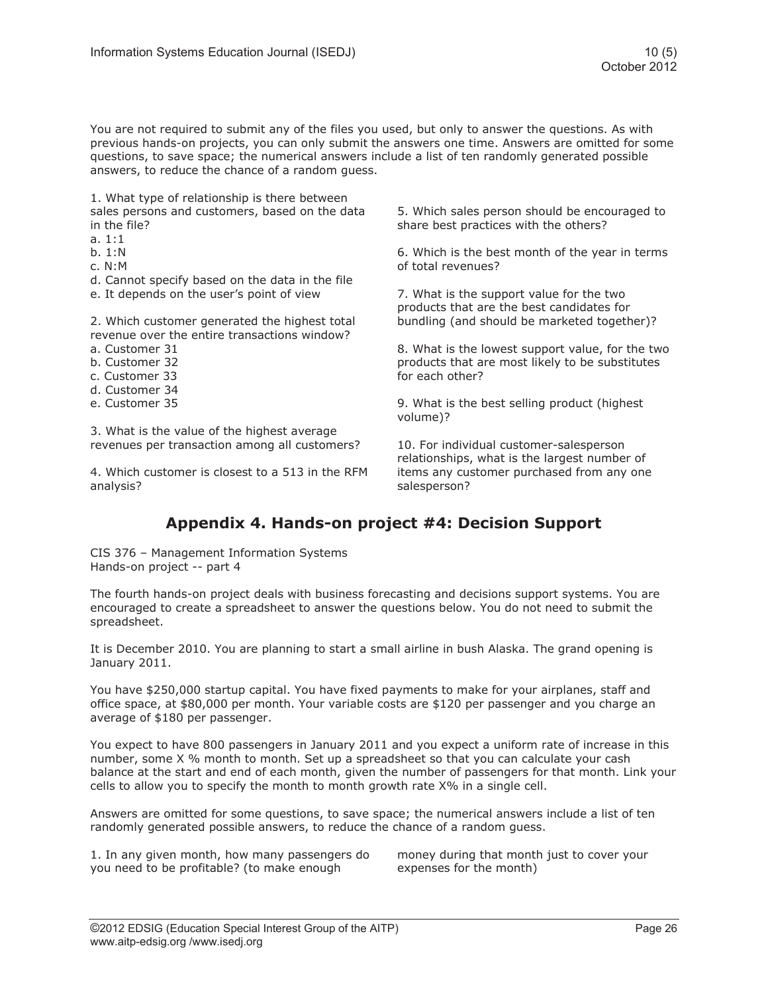You are not required to submit any of the files you used, but only to answer the questions. As with previous hands-on projects, you can only submit the answers one time. Answers are omitted for some questions, to save space; the numerical answers include a list of ten randomly generated possible answers, to reduce the chance of a random guess.

1. What type of relationship is there between sales persons and customers, based on the data in the file?

- a. 1:1
- b. 1:N
- c. N:M
- d. Cannot specify based on the data in the file
- e. It depends on the user's point of view

2. Which customer generated the highest total revenue over the entire transactions window?

- a. Customer 31
- b. Customer 32
- c. Customer 33
- d. Customer 34
- e. Customer 35

3. What is the value of the highest average revenues per transaction among all customers?

4. Which customer is closest to a 513 in the RFM analysis?

5. Which sales person should be encouraged to share best practices with the others?

6. Which is the best month of the year in terms of total revenues?

7. What is the support value for the two products that are the best candidates for bundling (and should be marketed together)?

8. What is the lowest support value, for the two products that are most likely to be substitutes for each other?

9. What is the best selling product (highest volume)?

10. For individual customer-salesperson relationships, what is the largest number of items any customer purchased from any one salesperson?

# **Appendix 4. Hands-on project #4: Decision Support**

CIS 376 – Management Information Systems Hands-on project -- part 4

The fourth hands-on project deals with business forecasting and decisions support systems. You are encouraged to create a spreadsheet to answer the questions below. You do not need to submit the spreadsheet.

It is December 2010. You are planning to start a small airline in bush Alaska. The grand opening is January 2011.

You have \$250,000 startup capital. You have fixed payments to make for your airplanes, staff and office space, at \$80,000 per month. Your variable costs are \$120 per passenger and you charge an average of \$180 per passenger.

You expect to have 800 passengers in January 2011 and you expect a uniform rate of increase in this number, some X % month to month. Set up a spreadsheet so that you can calculate your cash balance at the start and end of each month, given the number of passengers for that month. Link your cells to allow you to specify the month to month growth rate X% in a single cell.

Answers are omitted for some questions, to save space; the numerical answers include a list of ten randomly generated possible answers, to reduce the chance of a random guess.

1. In any given month, how many passengers do you need to be profitable? (to make enough

money during that month just to cover your expenses for the month)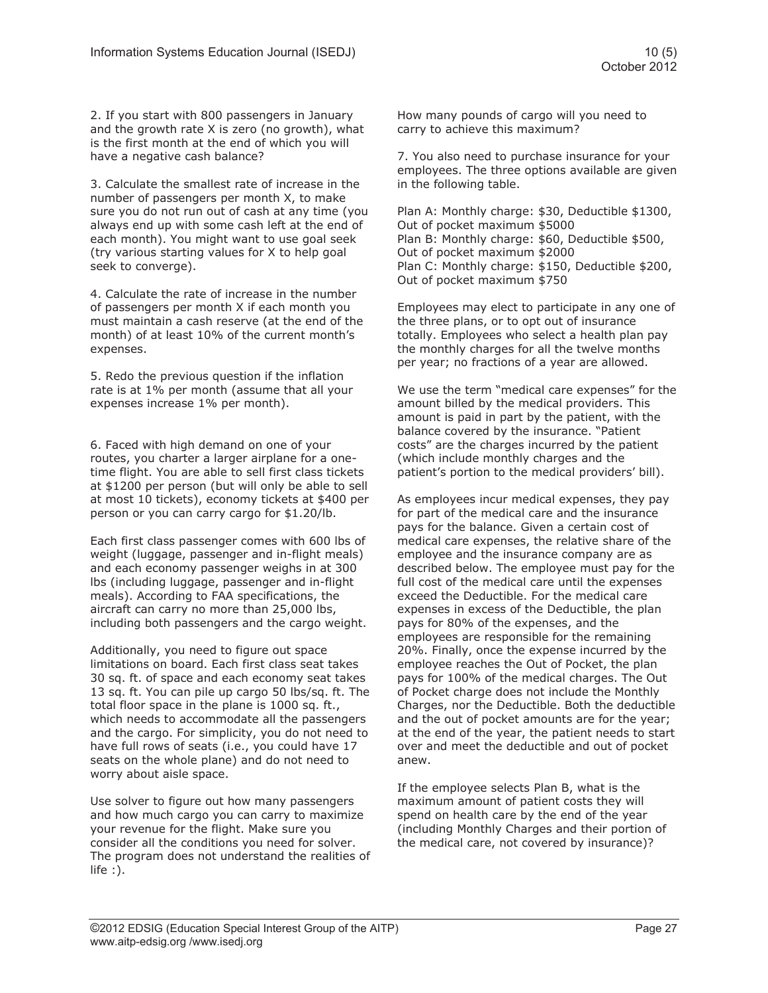2. If you start with 800 passengers in January and the growth rate X is zero (no growth), what is the first month at the end of which you will have a negative cash balance?

3. Calculate the smallest rate of increase in the number of passengers per month X, to make sure you do not run out of cash at any time (you always end up with some cash left at the end of each month). You might want to use goal seek (try various starting values for X to help goal seek to converge).

4. Calculate the rate of increase in the number of passengers per month X if each month you must maintain a cash reserve (at the end of the month) of at least 10% of the current month's expenses.

5. Redo the previous question if the inflation rate is at 1% per month (assume that all your expenses increase 1% per month).

6. Faced with high demand on one of your routes, you charter a larger airplane for a onetime flight. You are able to sell first class tickets at \$1200 per person (but will only be able to sell at most 10 tickets), economy tickets at \$400 per person or you can carry cargo for \$1.20/lb.

Each first class passenger comes with 600 lbs of weight (luggage, passenger and in-flight meals) and each economy passenger weighs in at 300 lbs (including luggage, passenger and in-flight meals). According to FAA specifications, the aircraft can carry no more than 25,000 lbs, including both passengers and the cargo weight.

Additionally, you need to figure out space limitations on board. Each first class seat takes 30 sq. ft. of space and each economy seat takes 13 sq. ft. You can pile up cargo 50 lbs/sq. ft. The total floor space in the plane is 1000 sq. ft., which needs to accommodate all the passengers and the cargo. For simplicity, you do not need to have full rows of seats (i.e., you could have 17 seats on the whole plane) and do not need to worry about aisle space.

Use solver to figure out how many passengers and how much cargo you can carry to maximize your revenue for the flight. Make sure you consider all the conditions you need for solver. The program does not understand the realities of life :).

How many pounds of cargo will you need to carry to achieve this maximum?

7. You also need to purchase insurance for your employees. The three options available are given in the following table.

Plan A: Monthly charge: \$30, Deductible \$1300, Out of pocket maximum \$5000 Plan B: Monthly charge: \$60, Deductible \$500, Out of pocket maximum \$2000 Plan C: Monthly charge: \$150, Deductible \$200, Out of pocket maximum \$750

Employees may elect to participate in any one of the three plans, or to opt out of insurance totally. Employees who select a health plan pay the monthly charges for all the twelve months per year; no fractions of a year are allowed.

We use the term "medical care expenses" for the amount billed by the medical providers. This amount is paid in part by the patient, with the balance covered by the insurance. "Patient costs" are the charges incurred by the patient (which include monthly charges and the patient's portion to the medical providers' bill).

As employees incur medical expenses, they pay for part of the medical care and the insurance pays for the balance. Given a certain cost of medical care expenses, the relative share of the employee and the insurance company are as described below. The employee must pay for the full cost of the medical care until the expenses exceed the Deductible. For the medical care expenses in excess of the Deductible, the plan pays for 80% of the expenses, and the employees are responsible for the remaining 20%. Finally, once the expense incurred by the employee reaches the Out of Pocket, the plan pays for 100% of the medical charges. The Out of Pocket charge does not include the Monthly Charges, nor the Deductible. Both the deductible and the out of pocket amounts are for the year; at the end of the year, the patient needs to start over and meet the deductible and out of pocket anew.

If the employee selects Plan B, what is the maximum amount of patient costs they will spend on health care by the end of the year (including Monthly Charges and their portion of the medical care, not covered by insurance)?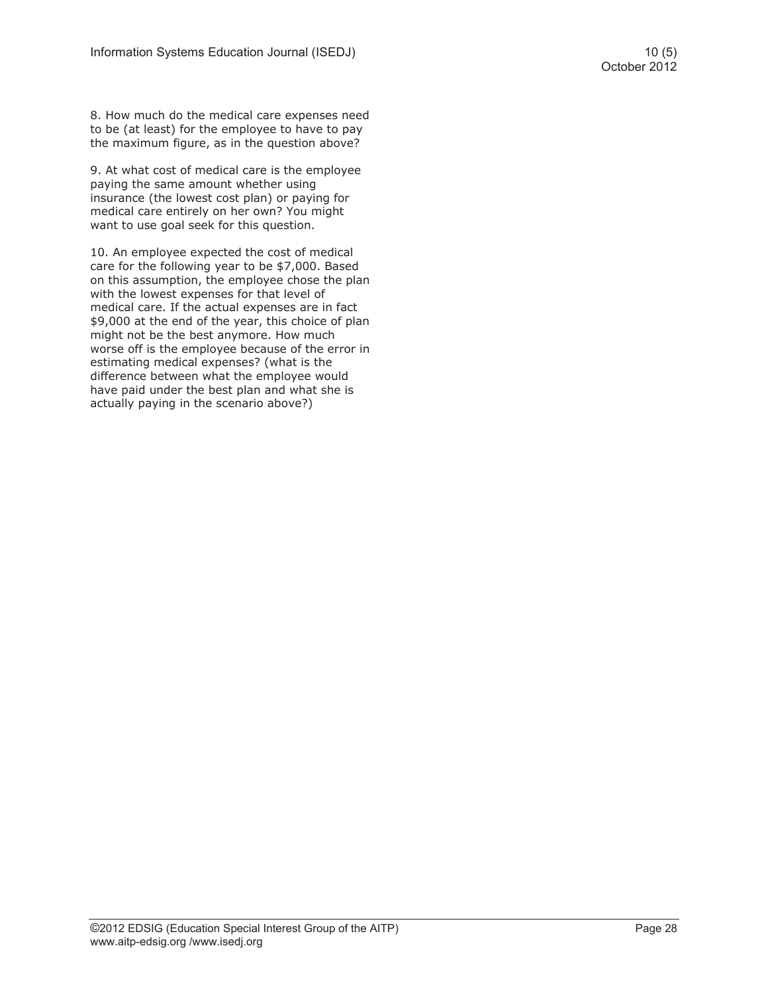8. How much do the medical care expenses need to be (at least) for the employee to have to pay the maximum figure, as in the question above?

9. At what cost of medical care is the employee paying the same amount whether using insurance (the lowest cost plan) or paying for medical care entirely on her own? You might want to use goal seek for this question.

10. An employee expected the cost of medical care for the following year to be \$7,000. Based on this assumption, the employee chose the plan with the lowest expenses for that level of medical care. If the actual expenses are in fact \$9,000 at the end of the year, this choice of plan might not be the best anymore. How much worse off is the employee because of the error in estimating medical expenses? (what is the difference between what the employee would have paid under the best plan and what she is actually paying in the scenario above?)